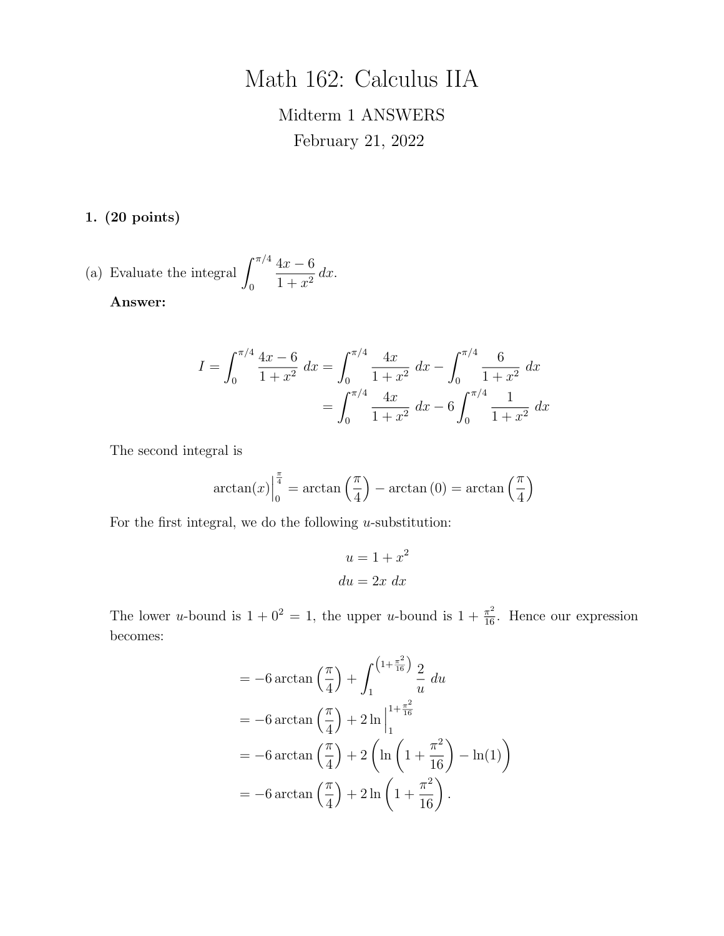# Math 162: Calculus IIA

# Midterm 1 ANSWERS February 21, 2022

1. (20 points)

(a) Evaluate the integral 
$$
\int_0^{\pi/4} \frac{4x - 6}{1 + x^2} dx.
$$

Answer:

$$
I = \int_0^{\pi/4} \frac{4x - 6}{1 + x^2} dx = \int_0^{\pi/4} \frac{4x}{1 + x^2} dx - \int_0^{\pi/4} \frac{6}{1 + x^2} dx
$$

$$
= \int_0^{\pi/4} \frac{4x}{1 + x^2} dx - 6 \int_0^{\pi/4} \frac{1}{1 + x^2} dx
$$

The second integral is

$$
\arctan(x)\Big|_0^{\frac{\pi}{4}} = \arctan\left(\frac{\pi}{4}\right) - \arctan(0) = \arctan\left(\frac{\pi}{4}\right)
$$

For the first integral, we do the following *u*-substitution:

$$
u = 1 + x^2
$$

$$
du = 2x \, dx
$$

The lower *u*-bound is  $1 + 0^2 = 1$ , the upper *u*-bound is  $1 + \frac{\pi^2}{16}$ . Hence our expression becomes:

$$
= -6 \arctan\left(\frac{\pi}{4}\right) + \int_{1}^{(1+\frac{\pi^{2}}{16})} \frac{2}{u} du
$$
  
= -6 \arctan\left(\frac{\pi}{4}\right) + 2 \ln\Big|\_{1}^{1+\frac{\pi^{2}}{16}}  
= -6 \arctan\left(\frac{\pi}{4}\right) + 2 \left(\ln\left(1 + \frac{\pi^{2}}{16}\right) - \ln(1)\right)  
= -6 \arctan\left(\frac{\pi}{4}\right) + 2 \ln\left(1 + \frac{\pi^{2}}{16}\right).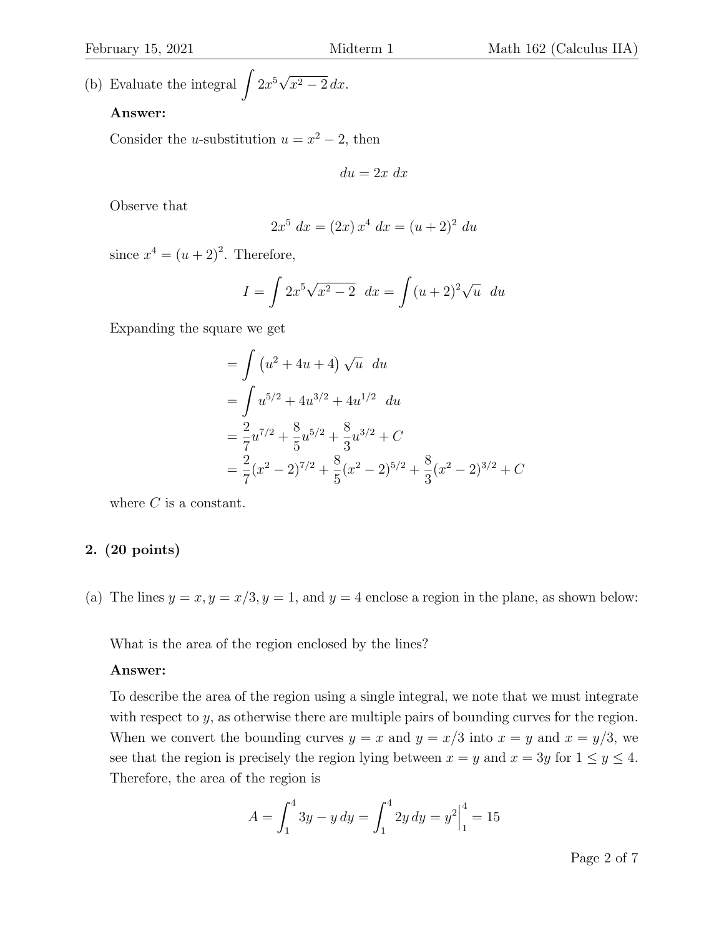(b) Evaluate the integral  $\int 2x^5 \sqrt{x^2 - 2} \, dx.$ 

#### Answer:

Consider the *u*-substitution  $u = x^2 - 2$ , then

$$
du = 2x \ dx
$$

Observe that

$$
2x^5 dx = (2x) x^4 dx = (u+2)^2 du
$$

since  $x^4 = (u+2)^2$ . Therefore,

$$
I = \int 2x^5 \sqrt{x^2 - 2} \, dx = \int (u+2)^2 \sqrt{u} \, du
$$

Expanding the square we get

$$
= \int (u^2 + 4u + 4) \sqrt{u} \ du
$$
  
= 
$$
\int u^{5/2} + 4u^{3/2} + 4u^{1/2} \ du
$$
  
= 
$$
\frac{2}{7}u^{7/2} + \frac{8}{5}u^{5/2} + \frac{8}{3}u^{3/2} + C
$$
  
= 
$$
\frac{2}{7}(x^2 - 2)^{7/2} + \frac{8}{5}(x^2 - 2)^{5/2} + \frac{8}{3}(x^2 - 2)^{3/2} + C
$$

where *C* is a constant.

#### 2. (20 points)

(a) The lines  $y = x, y = x/3, y = 1$ , and  $y = 4$  enclose a region in the plane, as shown below:

What is the area of the region enclosed by the lines?

#### Answer:

To describe the area of the region using a single integral, we note that we must integrate with respect to *y*, as otherwise there are multiple pairs of bounding curves for the region. When we convert the bounding curves  $y = x$  and  $y = x/3$  into  $x = y$  and  $x = y/3$ , we see that the region is precisely the region lying between  $x = y$  and  $x = 3y$  for  $1 \le y \le 4$ . Therefore, the area of the region is

$$
A = \int_1^4 3y - y \, dy = \int_1^4 2y \, dy = y^2 \Big|_1^4 = 15
$$

Page 2 of 7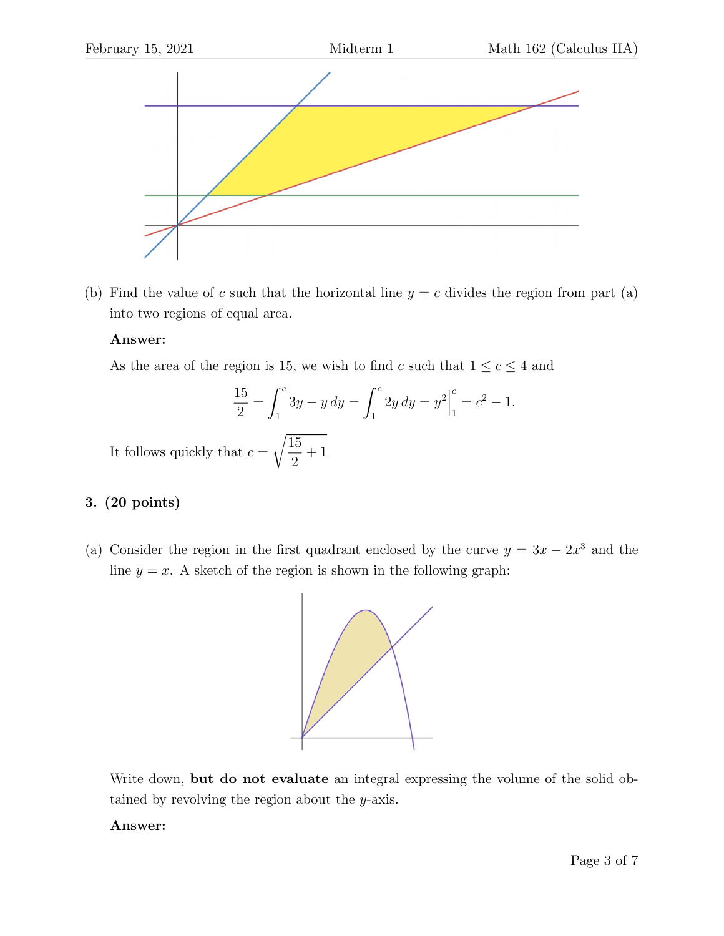

(b) Find the value of *c* such that the horizontal line  $y = c$  divides the region from part (a) into two regions of equal area.

### Answer:

As the area of the region is 15, we wish to find *c* such that  $1 \leq c \leq 4$  and

$$
\frac{15}{2} = \int_1^c 3y - y \, dy = \int_1^c 2y \, dy = y^2 \Big|_1^c = c^2 - 1.
$$
  
at  $c = \sqrt{\frac{15}{1}} + 1$ 

It follows quickly that  $\sqrt{2}$ 

# 3. (20 points)

(a) Consider the region in the first quadrant enclosed by the curve  $y = 3x - 2x^3$  and the line  $y = x$ . A sketch of the region is shown in the following graph:



Write down, but do not evaluate an integral expressing the volume of the solid obtained by revolving the region about the *y*-axis.

#### Answer: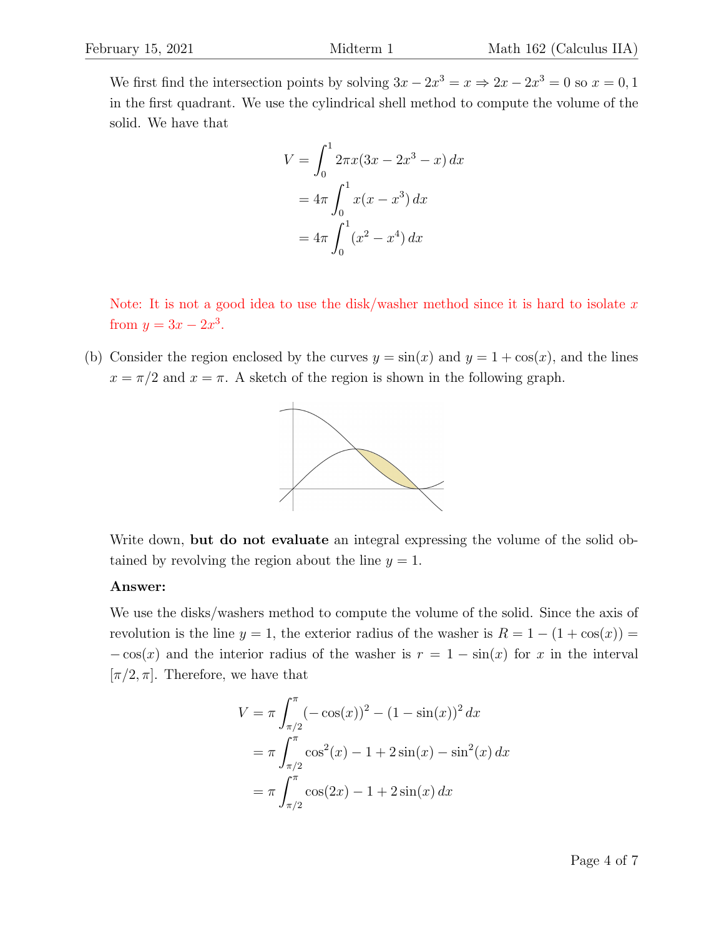We first find the intersection points by solving  $3x - 2x^3 = x \Rightarrow 2x - 2x^3 = 0$  so  $x = 0, 1$ in the first quadrant. We use the cylindrical shell method to compute the volume of the solid. We have that

$$
V = \int_0^1 2\pi x (3x - 2x^3 - x) dx
$$
  
=  $4\pi \int_0^1 x (x - x^3) dx$   
=  $4\pi \int_0^1 (x^2 - x^4) dx$ 

Note: It is not a good idea to use the disk/washer method since it is hard to isolate *x* from  $y = 3x - 2x^3$ .

(b) Consider the region enclosed by the curves  $y = \sin(x)$  and  $y = 1 + \cos(x)$ , and the lines  $x = \pi/2$  and  $x = \pi$ . A sketch of the region is shown in the following graph.



Write down, but do not evaluate an integral expressing the volume of the solid obtained by revolving the region about the line  $y = 1$ .

#### Answer:

We use the disks/washers method to compute the volume of the solid. Since the axis of revolution is the line  $y = 1$ , the exterior radius of the washer is  $R = 1 - (1 + \cos(x)) =$  $-\cos(x)$  and the interior radius of the washer is  $r = 1 - \sin(x)$  for *x* in the interval  $[\pi/2, \pi]$ . Therefore, we have that

$$
V = \pi \int_{\pi/2}^{\pi} (-\cos(x))^2 - (1 - \sin(x))^2 dx
$$
  
=  $\pi \int_{\pi/2}^{\pi} \cos^2(x) - 1 + 2\sin(x) - \sin^2(x) dx$   
=  $\pi \int_{\pi/2}^{\pi} \cos(2x) - 1 + 2\sin(x) dx$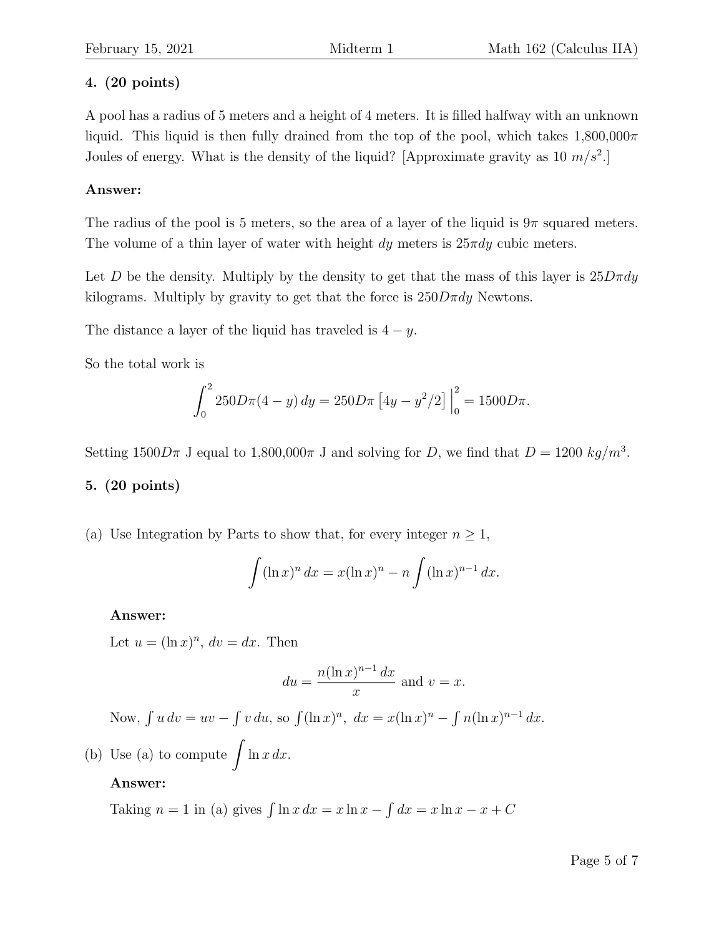# 4. (20 points)

A pool has a radius of 5 meters and a height of 4 meters. It is filled halfway with an unknown liquid. This liquid is then fully drained from the top of the pool, which takes  $1,800,000\pi$ Joules of energy. What is the density of the liquid? [Approximate gravity as 10 *m/s*<sup>2</sup>.]

# Answer:

The radius of the pool is 5 meters, so the area of a layer of the liquid is  $9\pi$  squared meters. The volume of a thin layer of water with height  $dy$  meters is  $25\pi dy$  cubic meters.

Let *D* be the density. Multiply by the density to get that the mass of this layer is  $25D\pi dy$ kilograms. Multiply by gravity to get that the force is  $250D\pi dy$  Newtons.

The distance a layer of the liquid has traveled is  $4 - y$ .

So the total work is

$$
\int_0^2 250 D\pi (4 - y) dy = 250 D\pi \left[ 4y - y^2/2 \right]_0^2 = 1500 D\pi.
$$

Setting  $1500D\pi$  J equal to  $1,800,000\pi$  J and solving for *D*, we find that  $D = 1200 \ kg/m^3$ .

# 5. (20 points)

(a) Use Integration by Parts to show that, for every integer  $n \geq 1$ ,

$$
\int (\ln x)^n dx = x(\ln x)^n - n \int (\ln x)^{n-1} dx.
$$

### Answer:

Let  $u = (\ln x)^n$ ,  $dv = dx$ . Then

$$
du = \frac{n(\ln x)^{n-1} dx}{x}
$$
 and  $v = x$ .

Now,  $\int u \, dv = uv - \int v \, du$ , so  $\int (\ln x)^n$ ,  $dx = x(\ln x)^n - \int n(\ln x)^{n-1} \, dx$ .

(b) Use (a) to compute !  $\ln x \, dx$ .

# Answer:

Taking  $n = 1$  in (a) gives  $\int \ln x \, dx = x \ln x - \int dx = x \ln x - x + C$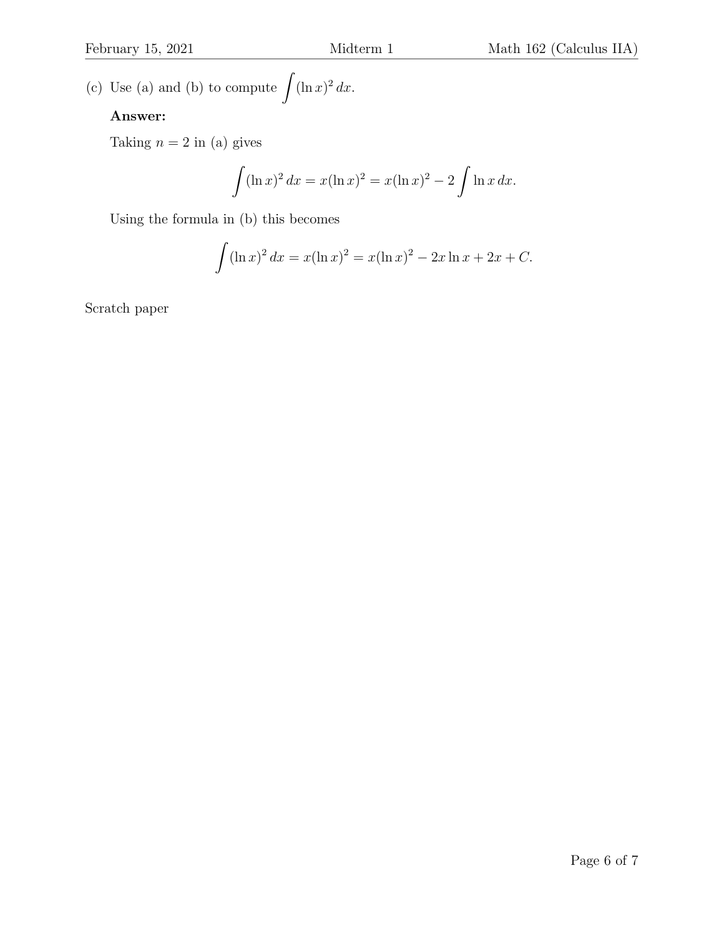(c) Use (a) and (b) to compute !!  $(\ln x)^2 dx$ .

## Answer:

Taking  $n = 2$  in (a) gives

$$
\int (\ln x)^2 \, dx = x(\ln x)^2 = x(\ln x)^2 - 2 \int \ln x \, dx.
$$

Using the formula in (b) this becomes

$$
\int (\ln x)^2 dx = x(\ln x)^2 = x(\ln x)^2 - 2x \ln x + 2x + C.
$$

Scratch paper